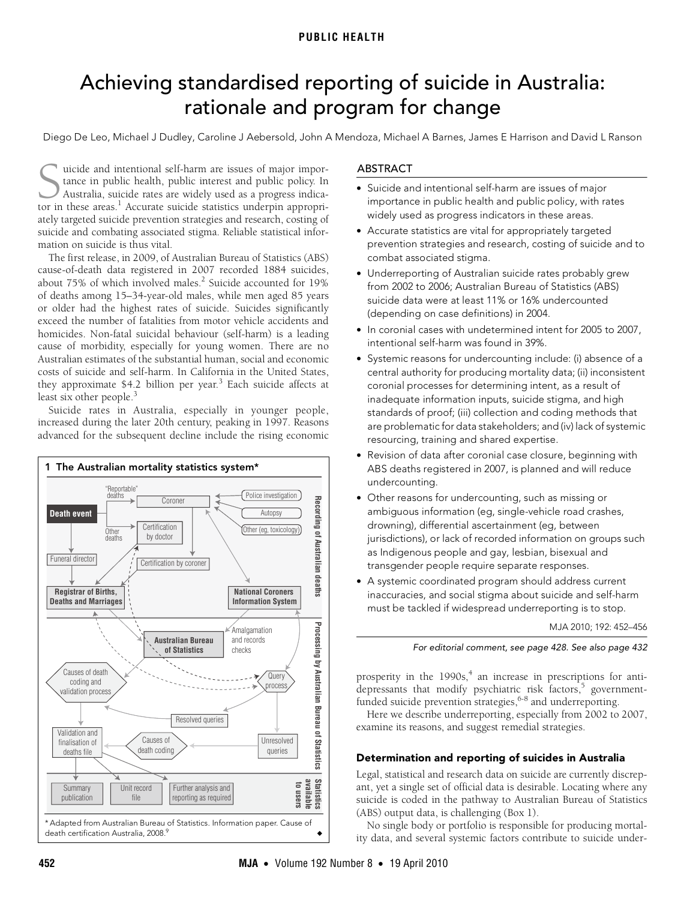# <span id="page-0-0"></span>Achieving standardised reporting of suicide in Australia: rationale and program for change

Diego De Leo, Michael J Dudley, Caroline J Aebersold, John A Mendoza, Michael A Barnes, James E Harrison and David L Ranson

uicide and intentional self-harm are issues of major importance in public health, public interest and public policy. In Australia, suicide rates are widely used as a progress indica-Guicide and intentional self-harm are issues of major importance in public health, public interest and public policy. In Australia, suicide rates are widely used as a progress indicator in these areas.<sup>[1](#page-4-0)</sup> Accurate suicide ately targeted suicide prevention strategies and research, costing of suicide and combating associated stigma. Reliable statistical information on suicide is thus vital.

of deaths among 15–34-year-old males, while men aged 85 years or older had the highest rate[s of](#page-0-0) [suic](#page-4-8)ide. Suicides significantly exceed the number of fatalities from motor vehicle accidents and homicides. Non-fatal suicidal behaviour (self-harm) is a leading example For the charge sensitive at (see thing) at a change The first release, in 2009, of Australian Bureau of Statistics (ABS) cause-of-death data registered in 2007 recorded 1884 suicides, about 75% of which involved males.<sup>2</sup> Suicide accounted for 19% Australian estimates of the substantial human, social and economic costs of suicide and self-harm. In California in the United States, they approximate \$4.2 billion per year.<sup>[3](#page-4-2)</sup> Each suicide affects at least six other people.<sup>[3](#page-4-2)</sup>

Suicide rates in Australia, especially in younger people, increased during the later 20th century, peaking in 1997. Reasons advanced for the subsequent decline include the rising economic



# ABSTRACT

- Suicide and intentional self-harm are issues of major importance in public health and public policy, with rates widely used as progress indicators in these areas.
- Accurate statistics are vital for appropriately targeted prevention strategies and research, costing of suicide and to combat associated stigma.
- Underreporting of Australian suicide rates probably grew from 2002 to 2006; Australian Bureau of Statistics (ABS) suicide data were at least 11% or 16% undercounted (depending on case definitions) in 2004.
- In coronial cases with undetermined intent for 2005 to 2007, intentional self-harm was found in 39%.
- Systemic reasons for undercounting include: (i) absence of a central authority for producing mortality data; (ii) inconsistent coronial processes for determining intent, as a result of inadequate information inputs, suicide stigma, and high standards of proof; (iii) collection and coding methods that are problematic for data stakeholders; and (iv) lack of systemic resourcing, training and shared expertise.
- Revision of data after coronial case closure, beginning with ABS deaths registered in 2007, is planned and will reduce undercounting.
- Other reasons for undercounting, such as missing or ambiguous information (eg, single-vehicle road crashes, drowning), differential ascertainment (eg, between jurisdictions), or lack of recorded information on groups such as Indigenous people and gay, lesbian, bisexual and transgender people require separate responses.
- A systemic coordinated program should address current inaccuracies, and social stigma about suicide and self-harm must be tackled if widespread underreporting is to stop.

MJA 2010; 192: 452–456

#### For editorial comment, see page 428. See also page 432

prosperity in the  $1990s<sub>1</sub><sup>4</sup>$  $1990s<sub>1</sub><sup>4</sup>$  $1990s<sub>1</sub><sup>4</sup>$  an increase in prescriptions for anti-depressants that modify psychiatric risk factors,<sup>[5](#page-4-4)</sup> governmentfunded suicide prevention strategies,  $6-8$  $6-8$  and underreporting.

Here we describe underreporting, especially from 2002 to 2007, examine its reasons, and suggest remedial strategies.

## Determination and reporting of suicides in Australia

Legal, statistical and research data on suicide are currently discrepant, yet a single set of official data is desirable. Locating where any suicide is coded in the pathway to Australian Bureau of Statistics (ABS) output data, is challenging (Box 1).

No single body or portfolio is responsible for producing mortality data, and several systemic factors contribute to suicide under-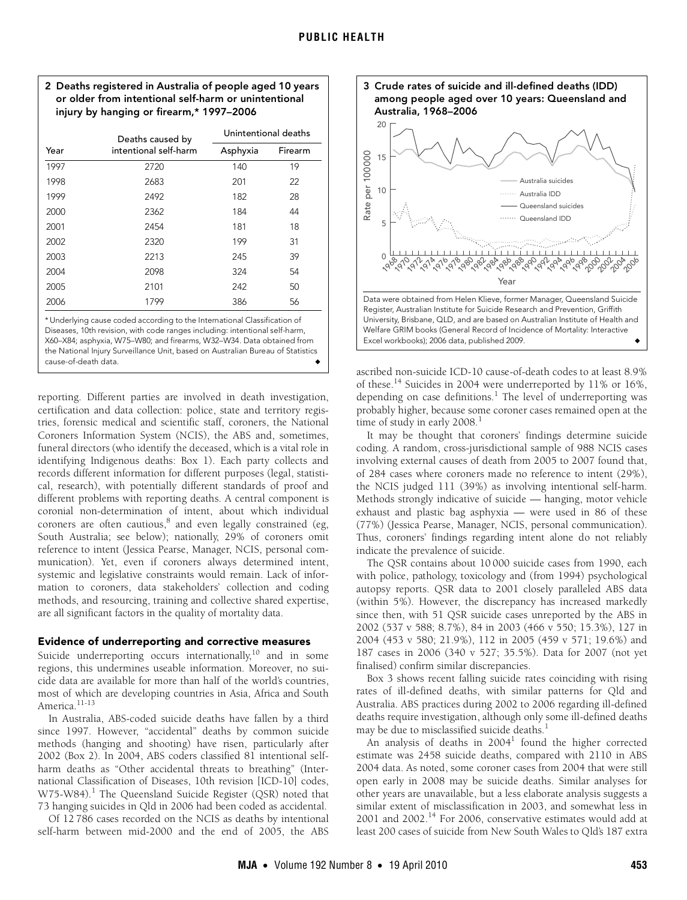

|      | Deaths caused by<br>intentional self-harm                                                                                                                                                                                                                                                                            | Unintentional deaths |         |
|------|----------------------------------------------------------------------------------------------------------------------------------------------------------------------------------------------------------------------------------------------------------------------------------------------------------------------|----------------------|---------|
| Year |                                                                                                                                                                                                                                                                                                                      | Asphyxia             | Firearm |
| 1997 | 2720                                                                                                                                                                                                                                                                                                                 | 140                  | 19      |
| 1998 | 2683                                                                                                                                                                                                                                                                                                                 | 201                  | 22      |
| 1999 | 2492                                                                                                                                                                                                                                                                                                                 | 182                  | 28      |
| 2000 | 2362                                                                                                                                                                                                                                                                                                                 | 184                  | 44      |
| 2001 | 2454                                                                                                                                                                                                                                                                                                                 | 181                  | 18      |
| 2002 | 2320                                                                                                                                                                                                                                                                                                                 | 199                  | 31      |
| 2003 | 2213                                                                                                                                                                                                                                                                                                                 | 245                  | 39      |
| 2004 | 2098                                                                                                                                                                                                                                                                                                                 | 324                  | 54      |
| 2005 | 2101                                                                                                                                                                                                                                                                                                                 | 242                  | 50      |
| 2006 | 1799                                                                                                                                                                                                                                                                                                                 | 386                  | 56      |
|      | * Underlying cause coded according to the International Classification of<br>Diseases, 10th revision, with code ranges including: intentional self-harm,<br>X60–X84; asphyxia, W75–W80; and firearms, W32–W34. Data obtained from<br>the National Injury Surveillance Unit, based on Australian Bureau of Statistics |                      |         |

cause-of-death data. ◆

reporting. Different parties are involved in death investigation, certification and data collection: police, state and territory registries, forensic medical and scientific staff, coroners, the National Coroners Information System (NCIS), the ABS and, sometimes, funeral directors (who identify the deceased, which is a vital role in identifying Indigenous deaths: Box 1). Each party collects and records different information for different purposes (legal, statistical, research), with potentially different standards of proof and different problems with reporting deaths. A central component is coronial non-determination of intent, about which individual coroners are often cautious,<sup>8</sup> and even legally constrained (eg, South Australia; see below); nationally, 29% of coroners omit reference to intent (Jessica Pearse, Manager, NCIS, personal communication). Yet, even if coroners always determined intent, systemic and legislative constraints would remain. Lack of information to coroners, data stakeholders' collection and coding methods, and resourcing, training and collective shared expertise, are all significant factors in the quality of mortality data.

#### Evidence of underreporting and corrective measures

Suicide underreporting occurs internationally, $10$  and in some regions, this undermines useable information. Moreover, no suicide data are available for more than half of the world's countries, most of which are developing countries in Asia, Africa and South America<sup>11-[13](#page-4-11)</sup>

In Australia, ABS-coded suicide deaths have fallen by a third since 1997. However, "accidental" deaths by common suicide methods (hanging and shooting) have risen, particularly after 2002 (Box 2). In 2004, ABS coders classified 81 intentional selfharm deaths as "Other accidental threats to breathing" (International Classification of Diseases, 10th revision [ICD-10] codes, W75-W84).<sup>[1](#page-4-0)</sup> The Queensland Suicide Register (QSR) noted that 73 hanging suicides in Qld in 2006 had been coded as accidental.

Of 12 786 cases recorded on the NCIS as deaths by intentional self-harm between mid-2000 and the end of 2005, the ABS



ascribed non-suicide ICD-10 cause-of-death codes to at least 8.9% of these.<sup>14</sup> Suicides in 2004 were underreported by 11% or 16%, depending on case definitions.<sup>[1](#page-4-0)</sup> The level of underreporting was probably higher, because some coroner cases remained open at the time of study in early  $2008.<sup>1</sup>$  $2008.<sup>1</sup>$  $2008.<sup>1</sup>$ 

It may be thought that coroners' findings determine suicide coding. A random, cross-jurisdictional sample of 988 NCIS cases involving external causes of death from 2005 to 2007 found that, of 284 cases where coroners made no reference to intent (29%), the NCIS judged 111 (39%) as involving intentional self-harm. Methods strongly indicative of suicide — hanging, motor vehicle exhaust and plastic bag asphyxia — were used in 86 of these (77%) (Jessica Pearse, Manager, NCIS, personal communication). Thus, coroners' findings regarding intent alone do not reliably indicate the prevalence of suicide.

The QSR contains about 10 000 suicide cases from 1990, each with police, pathology, toxicology and (from 1994) psychological autopsy reports. QSR data to 2001 closely paralleled ABS data (within 5%). However, the discrepancy has increased markedly since then, with 51 QSR suicide cases unreported by the ABS in 2002 (537 v 588; 8.7%), 84 in 2003 (466 v 550; 15.3%), 127 in 2004 (453 v 580; 21.9%), 112 in 2005 (459 v 571; 19.6%) and 187 cases in 2006 (340 v 527; 35.5%). Data for 2007 (not yet finalised) confirm similar discrepancies.

Box 3 shows recent falling suicide rates coinciding with rising rates of ill-defined deaths, with similar patterns for Qld and Australia. ABS practices during 2002 to 2006 regarding ill-defined deaths require investigation, although only some ill-defined deaths may be due to misclassified suicide deaths.<sup>[1](#page-4-0)</sup>

An analysis of deaths in 2004 $^1$  $^1$  found the higher corrected estimate was 2458 suicide deaths, compared with 2110 in ABS 2004 data. As noted, some coroner cases from 2004 that were still open early in 2008 may be suicide deaths. Similar analyses for other years are unavailable, but a less elaborate analysis suggests a similar extent of misclassification in 2003, and somewhat less in 2001 and 2002[.14](#page-4-12) For 2006, conservative estimates would add at least 200 cases of suicide from New South Wales to Qld's 187 extra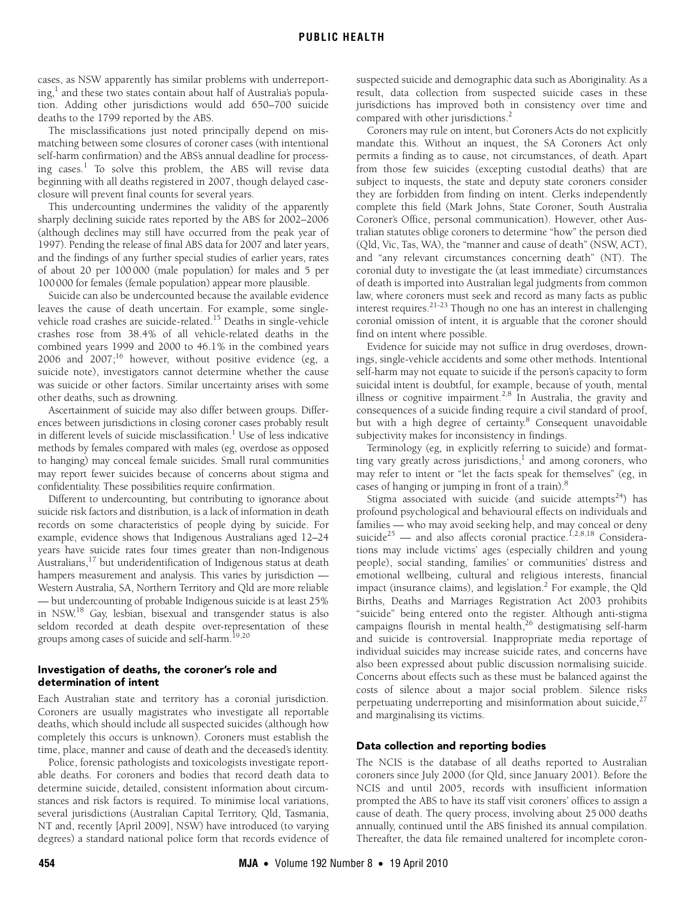cases, as NSW apparently has similar problems with underreporting,<sup>1</sup> and these two states contain about half of Australia's population. Adding other jurisdictions would add 650–700 suicide deaths to the 1799 reported by the ABS.

The misclassifications just noted principally depend on mismatching between some closures of coroner cases (with intentional self-harm confirmation) and the ABS's annual deadline for process-ing cases.<sup>[1](#page-4-0)</sup> To solve this problem, the ABS will revise data beginning with all deaths registered in 2007, though delayed caseclosure will prevent final counts for several years.

This undercounting undermines the validity of the apparently sharply declining suicide rates reported by the ABS for 2002–2006 (although declines may still have occurred from the peak year of 1997). Pending the release of final ABS data for 2007 and later years, and the findings of any further special studies of earlier years, rates of about 20 per 100 000 (male population) for males and 5 per 100000 for females (female population) appear more plausible.

Suicide can also be undercounted because the available evidence leaves the cause of death uncertain. For example, some singlevehicle road crashes are suicide-related.[15](#page-4-13) Deaths in single-vehicle crashes rose from 38.4% of all vehicle-related deaths in the combined years 1999 and 2000 to 46.1% in the combined years 2006 and 2007[;16](#page-4-14) however, without positive evidence (eg, a suicide note), investigators cannot determine whether the cause was suicide or other factors. Similar uncertainty arises with some other deaths, such as drowning.

Ascertainment of suicide may also differ between groups. Differences between jurisdictions in closing coroner cases probably result in different levels of suicide misclassification.<sup>[1](#page-4-0)</sup> Use of less indicative methods by females compared with males (eg, overdose as opposed to hanging) may conceal female suicides. Small rural communities may report fewer suicides because of concerns about stigma and confidentiality. These possibilities require confirmation.

Different to undercounting, but contributing to ignorance about suicide risk factors and distribution, is a lack of information in death records on some characteristics of people dying by suicide. For example, evidence shows that Indigenous Australians aged 12–24 years have suicide rates four times greater than non-Indigenous Australians,<sup>[17](#page-4-15)</sup> but underidentification of Indigenous status at death hampers measurement and analysis. This varies by jurisdiction — Western Australia, SA, Northern Territory and Qld are more reliable — but undercounting of probable Indigenous suicide is at least 25% in NSW[.18](#page-4-16) Gay, lesbian, bisexual and transgender status is also seldom recorded at death despite over-representation of these groups among cases of suicide and self-harm.<sup>[19](#page-4-17),[20](#page-4-18)</sup>

# Investigation of deaths, the coroner's role and determination of intent

Each Australian state and territory has a coronial jurisdiction. Coroners are usually magistrates who investigate all reportable deaths, which should include all suspected suicides (although how completely this occurs is unknown). Coroners must establish the time, place, manner and cause of death and the deceased's identity.

Police, forensic pathologists and toxicologists investigate reportable deaths. For coroners and bodies that record death data to determine suicide, detailed, consistent information about circumstances and risk factors is required. To minimise local variations, several jurisdictions (Australian Capital Territory, Qld, Tasmania, NT and, recently [April 2009], NSW) have introduced (to varying degrees) a standard national police form that records evidence of

suspected suicide and demographic data such as Aboriginality. As a result, data collection from suspected suicide cases in these jurisdictions has improved both in consistency over time and compared with other jurisdictions.<sup>[2](#page-4-1)</sup>

Coroners may rule on intent, but Coroners Acts do not explicitly mandate this. Without an inquest, the SA Coroners Act only permits a finding as to cause, not circumstances, of death. Apart from those few suicides (excepting custodial deaths) that are subject to inquests, the state and deputy state coroners consider they are forbidden from finding on intent. Clerks independently complete this field (Mark Johns, State Coroner, South Australia Coroner's Office, personal communication). However, other Australian statutes oblige coroners to determine "how" the person died (Qld, Vic, Tas, WA), the "manner and cause of death" (NSW, ACT), and "any relevant circumstances concerning death" (NT). The coronial duty to investigate the (at least immediate) circumstances of death is imported into Australian legal judgments from common law, where coroners must seek and record as many facts as public interest requires[.21](#page-4-19)[-23](#page-4-20) Though no one has an interest in challenging coronial omission of intent, it is arguable that the coroner should find on intent where possible.

Evidence for suicide may not suffice in drug overdoses, drownings, single-vehicle accidents and some other methods. Intentional self-harm may not equate to suicide if the person's capacity to form suicidal intent is doubtful, for example, because of youth, mental illness or cognitive impairment.<sup>[2](#page-4-1),8</sup> In Australia, the gravity and consequences of a suicide finding require a civil standard of proof, but with a high degree of certainty.<sup>[8](#page-4-6)</sup> Consequent unavoidable subjectivity makes for inconsistency in findings.

Terminology (eg, in explicitly referring to suicide) and format-ting vary greatly across jurisdictions,<sup>[1](#page-4-0)</sup> and among coroners, who may refer to intent or "let the facts speak for themselves" (eg, in cases of hanging or jumping in front of a train).<sup>[8](#page-4-6)</sup>

Stigma associated with suicide (and suicide attempts<sup>[24](#page-4-21)</sup>) has profound psychological and behavioural effects on individuals and families — who may avoid seeking help, and may conceal or deny suicide<sup>[25](#page-4-22)</sup> — and also affects coronial practice.<sup>[1](#page-4-0),[2](#page-4-1)[,8,](#page-4-6)[18](#page-4-16)</sup> Considerations may include victims' ages (especially children and young people), social standing, families' or communities' distress and emotional wellbeing, cultural and religious interests, financial impact (insurance claims), and legislation.<sup>[2](#page-4-1)</sup> For example, the Qld Births, Deaths and Marriages Registration Act 2003 prohibits "suicide" being entered onto the register. Although anti-stigma campaigns flourish in mental health,<sup>26</sup> destigmatising self-harm and suicide is controversial. Inappropriate media reportage of individual suicides may increase suicide rates, and concerns have also been expressed about public discussion normalising suicide. Concerns about effects such as these must be balanced against the costs of silence about a major social problem. Silence risks perpetuating underreporting and misinformation about suicide, $27$ and marginalising its victims.

## Data collection and reporting bodies

The NCIS is the database of all deaths reported to Australian coroners since July 2000 (for Qld, since January 2001). Before the NCIS and until 2005, records with insufficient information prompted the ABS to have its staff visit coroners' offices to assign a cause of death. The query process, involving about 25 000 deaths annually, continued until the ABS finished its annual compilation. Thereafter, the data file remained unaltered for incomplete coron-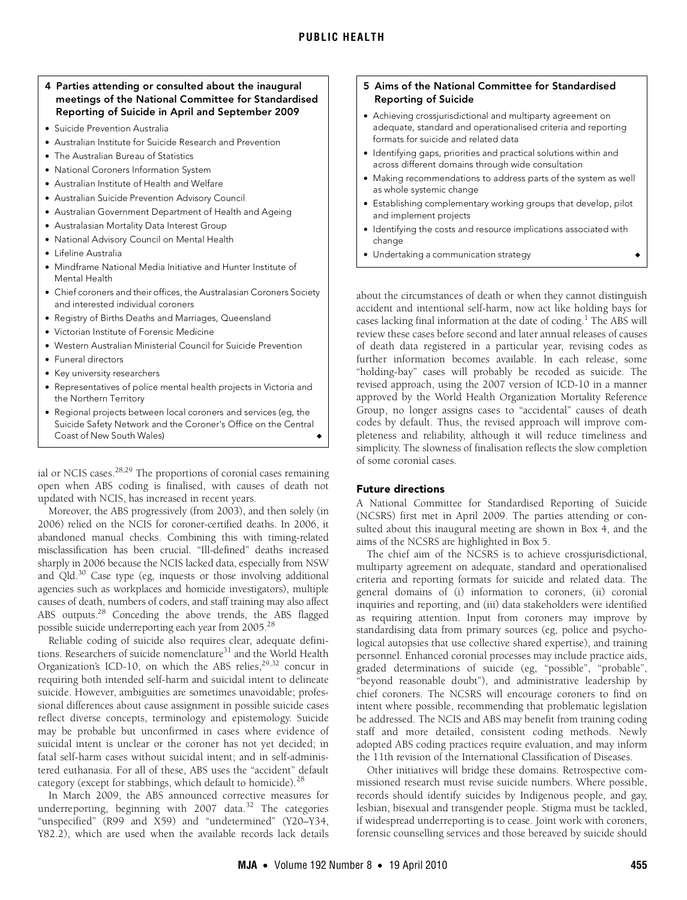## 4 Parties attending or consulted about the inaugural meetings of the National Committee for Standardised Reporting of Suicide in April and September 2009

- Suicide Prevention Australia
- Australian Institute for Suicide Research and Prevention
- The Australian Bureau of Statistics
- National Coroners Information System
- Australian Institute of Health and Welfare
- Australian Suicide Prevention Advisory Council
- Australian Government Department of Health and Ageing
- Australasian Mortality Data Interest Group
- National Advisory Council on Mental Health
- Lifeline Australia
- Mindframe National Media Initiative and Hunter Institute of Mental Health
- Chief coroners and their offices, the Australasian Coroners Society and interested individual coroners
- Registry of Births Deaths and Marriages, Queensland
- Victorian Institute of Forensic Medicine
- Western Australian Ministerial Council for Suicide Prevention
- Funeral directors
- Key university researchers
- Representatives of police mental health projects in Victoria and the Northern Territory
- Regional projects between local coroners and services (eg, the Suicide Safety Network and the Coroner's Office on the Central Coast of New South Wales)

ial or NCIS cases. $28,29$  $28,29$  The proportions of coronial cases remaining open when ABS coding is finalised, with causes of death not updated with NCIS, has increased in recent years.

Moreover, the ABS progressively (from 2003), and then solely (in 2006) relied on the NCIS for coroner-certified deaths. In 2006, it abandoned manual checks. Combining this with timing-related misclassification has been crucial. "Ill-defined" deaths increased sharply in 2006 because the NCIS lacked data, especially from NSW and Qld.<sup>30</sup> Case type (eg, inquests or those involving additional agencies such as workplaces and homicide investigators), multiple causes of death, numbers of coders, and staff training may also affect ABS outputs.<sup>28</sup> Conceding the above trends, the ABS flagged possible suicide underreporting each year from 2005.<sup>28</sup>

Reliable coding of suicide also requires clear, adequate definitions. Researchers of suicide nomenclature<sup>31</sup> and the World Health Organization's ICD-10, on which the ABS relies, $29,32$  $29,32$  concur in requiring both intended self-harm and suicidal intent to delineate suicide. However, ambiguities are sometimes unavoidable; professional differences about cause assignment in possible suicide cases reflect diverse concepts, terminology and epistemology. Suicide may be probable but unconfirmed in cases where evidence of suicidal intent is unclear or the coroner has not yet decided; in fatal self-harm cases without suicidal intent; and in self-administered euthanasia. For all of these, ABS uses the "accident" default category (except for stabbings, which default to homicide).[28](#page-4-25)

In March 2009, the ABS announced corrective measures for underreporting, beginning with  $2007$  data.<sup>[32](#page-4-8)</sup> The categories "unspecified" (R99 and X59) and "undetermined" (Y20–Y34, Y82.2), which are used when the available records lack details

## 5 Aims of the National Committee for Standardised Reporting of Suicide

- Achieving crossjurisdictional and multiparty agreement on adequate, standard and operationalised criteria and reporting formats for suicide and related data
- Identifying gaps, priorities and practical solutions within and across different domains through wide consultation
- Making recommendations to address parts of the system as well as whole systemic change
- Establishing complementary working groups that develop, pilot and implement projects
- Identifying the costs and resource implications associated with change
- Undertaking a communication strategy → ◆ ◆

about the circumstances of death or when they cannot distinguish accident and intentional self-harm, now act like holding bays for cases lacking final information at the date of coding.<sup>[1](#page-4-0)</sup> The ABS will review these cases before second and later annual releases of causes of death data registered in a particular year, revising codes as further information becomes available. In each release, some "holding-bay" cases will probably be recoded as suicide. The revised approach, using the 2007 version of ICD-10 in a manner approved by the World Health Organization Mortality Reference Group, no longer assigns cases to "accidental" causes of death codes by default. Thus, the revised approach will improve completeness and reliability, although it will reduce timeliness and simplicity. The slowness of finalisation reflects the slow completion of some coronial cases.

## Future directions

A National Committee for Standardised Reporting of Suicide (NCSRS) first met in April 2009. The parties attending or consulted about this inaugural meeting are shown in Box 4, and the aims of the NCSRS are highlighted in Box 5.

The chief aim of the NCSRS is to achieve crossjurisdictional, multiparty agreement on adequate, standard and operationalised criteria and reporting formats for suicide and related data. The general domains of (i) information to coroners, (ii) coronial inquiries and reporting, and (iii) data stakeholders were identified as requiring attention. Input from coroners may improve by standardising data from primary sources (eg, police and psychological autopsies that use collective shared expertise), and training personnel. Enhanced coronial processes may include practice aids, graded determinations of suicide (eg, "possible", "probable", "beyond reasonable doubt"), and administrative leadership by chief coroners. The NCSRS will encourage coroners to find on intent where possible, recommending that problematic legislation be addressed. The NCIS and ABS may benefit from training coding staff and more detailed, consistent coding methods. Newly adopted ABS coding practices require evaluation, and may inform the 11th revision of the International Classification of Diseases.

Other initiatives will bridge these domains. Retrospective commissioned research must revise suicide numbers. Where possible, records should identify suicides by Indigenous people, and gay, lesbian, bisexual and transgender people. Stigma must be tackled, if widespread underreporting is to cease. Joint work with coroners, forensic counselling services and those bereaved by suicide should